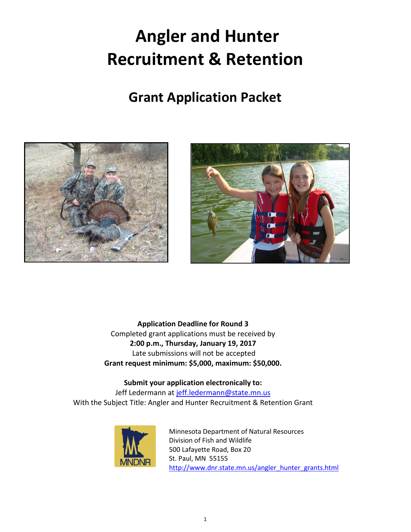# **Angler and Hunter Recruitment & Retention**

# **Grant Application Packet**





 **Application Deadline for Round 3**  Completed grant applications must be received by **2:00 p.m., Thursday, January 19, 2017**  Late submissions will not be accepted **Grant request minimum: \$5,000, maximum: \$50,000.** 

# **Submit your application electronically to:**

Jeff Ledermann at [jeff.ledermann@state.mn.us](mailto:jeff.ledermann@state.mn.us) With the Subject Title: Angler and Hunter Recruitment & Retention Grant



 St. Paul, MN 55155 Minnesota Department of Natural Resources Division of Fish and Wildlife 500 Lafayette Road, Box 20 http://www.dnr.state.mn.us/angler\_hunter\_grants.html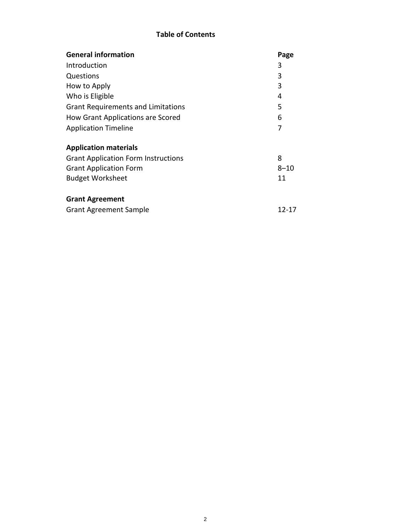# **Table of Contents**

| <b>General information</b>                 | Page     |
|--------------------------------------------|----------|
| Introduction                               | 3        |
| Questions                                  | 3        |
| How to Apply                               | 3        |
| Who is Eligible                            | 4        |
| <b>Grant Requirements and Limitations</b>  | 5        |
| How Grant Applications are Scored          | 6        |
| <b>Application Timeline</b>                | 7        |
| <b>Application materials</b>               |          |
| <b>Grant Application Form Instructions</b> | 8        |
| <b>Grant Application Form</b>              | $8 - 10$ |
| <b>Budget Worksheet</b>                    | 11       |
| <b>Grant Agreement</b>                     |          |
| <b>Grant Agreement Sample</b>              | 12-17    |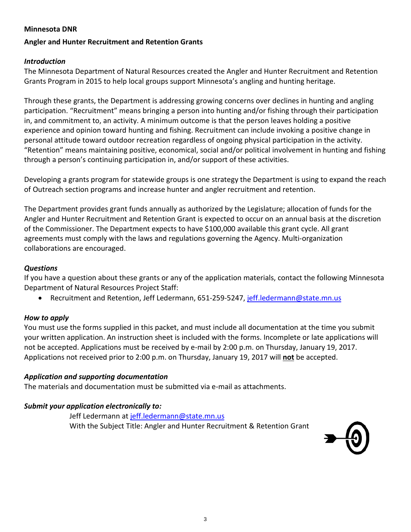### <span id="page-2-0"></span>**Minnesota DNR**

### **Angler and Hunter Recruitment and Retention Grants**

### *Introduction*

 The Minnesota Department of Natural Resources created the Angler and Hunter Recruitment and Retention Grants Program in 2015 to help local groups support Minnesota's angling and hunting heritage.

Through these grants, the Department is addressing growing concerns over declines in hunting and angling participation. "Recruitment" means bringing a person into hunting and/or fishing through their participation in, and commitment to, an activity. A minimum outcome is that the person leaves holding a positive experience and opinion toward hunting and fishing. Recruitment can include invoking a positive change in personal attitude toward outdoor recreation regardless of ongoing physical participation in the activity. "Retention" means maintaining positive, economical, social and/or political involvement in hunting and fishing through a person's continuing participation in, and/or support of these activities.

Developing a grants program for statewide groups is one strategy the Department is using to expand the reach of Outreach section programs and increase hunter and angler recruitment and retention.

 of the Commissioner. The Department expects to have \$100,000 available this grant cycle. All grant The Department provides grant funds annually as authorized by the Legislature; allocation of funds for the Angler and Hunter Recruitment and Retention Grant is expected to occur on an annual basis at the discretion agreements must comply with the laws and regulations governing the Agency. Multi-organization collaborations are encouraged.

### *Questions*

 If you have a question about these grants or any of the application materials, contact the following Minnesota Department of Natural Resources Project Staff:

• Recruitment and Retention, Jeff Ledermann, 651-259-5247, jeff.ledermann@state.mn.us

### *How to apply*

 You must use the forms supplied in this packet, and must include all documentation at the time you submit your written application. An instruction sheet is included with the forms. Incomplete or late applications will Applications not received prior to 2:00 p.m. on Thursday, January 19, 2017 will **not** be accepted. not be accepted. Applications must be received by e-mail by 2:00 p.m. on Thursday, January 19, 2017.

### *Application and supporting documentation*

The materials and documentation must be submitted via e-mail as attachments.

# *Submit your application electronically to:*

Jeff Ledermann at [jeff.ledermann@state.mn.us](mailto:jeff.ledermann@state.mn.us)  With the Subject Title: Angler and Hunter Recruitment & Retention Grant

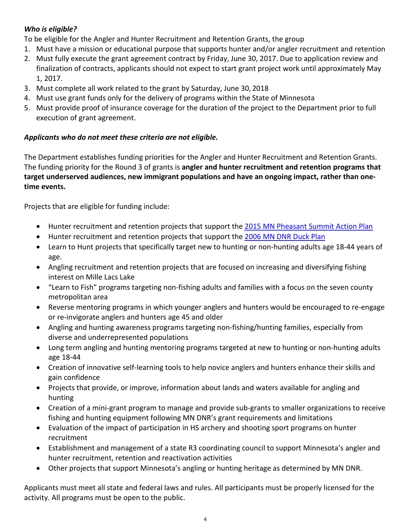# <span id="page-3-0"></span> *Who is eligible?*

To be eligible for the Angler and Hunter Recruitment and Retention Grants, the group

- 1. Must have a mission or educational purpose that supports hunter and/or angler recruitment and retention
- finalization of contracts, applicants should not expect to start grant project work until approximately May 2. Must fully execute the grant agreement contract by Friday, June 30, 2017. Due to application review and 1, 2017.
- 3. Must complete all work related to the grant by Saturday, June 30, 2018
- 4. Must use grant funds only for the delivery of programs within the State of Minnesota
- 5. Must provide proof of insurance coverage for the duration of the project to the Department prior to full execution of grant agreement.

# *Applicants who do not meet these criteria are not eligible.*

 The funding priority for the Round 3 of grants is **angler and hunter recruitment and retention programs that target underserved audiences, new immigrant populations and have an ongoing impact, rather than one-**The Department establishes funding priorities for the Angler and Hunter Recruitment and Retention Grants. **time events.** 

Projects that are eligible for funding include:

- Hunter recruitment and retention projects that support the 2015 MN Pheasant Summit Action Plan
- Hunter recruitment and retention projects that support the 2006 MN DNR Duck Plan
- Learn to Hunt projects that specifically target new to hunting or non-hunting adults age 18-44 years of age.
- interest on Mille Lacs Lake • Angling recruitment and retention projects that are focused on increasing and diversifying fishing
- • "Learn to Fish" programs targeting non-fishing adults and families with a focus on the seven county metropolitan area
- or re-invigorate anglers and hunters age 45 and older • Reverse mentoring programs in which younger anglers and hunters would be encouraged to re-engage
- Angling and hunting awareness programs targeting non-fishing/hunting families, especially from diverse and underrepresented populations
- Long term angling and hunting mentoring programs targeted at new to hunting or non-hunting adults age 18-44
- Creation of innovative self-learning tools to help novice anglers and hunters enhance their skills and gain confidence
- Projects that provide, or improve, information about lands and waters available for angling and hunting
- • Creation of a mini-grant program to manage and provide sub-grants to smaller organizations to receive fishing and hunting equipment following MN DNR's grant requirements and limitations
- Evaluation of the impact of participation in HS archery and shooting sport programs on hunter recruitment
- Establishment and management of a state R3 coordinating council to support Minnesota's angler and hunter recruitment, retention and reactivation activities
- Other projects that support Minnesota's angling or hunting heritage as determined by MN DNR.

 Applicants must meet all state and federal laws and rules. All participants must be properly licensed for the activity. All programs must be open to the public.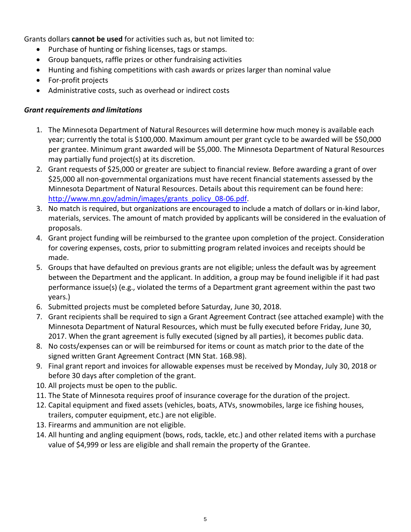<span id="page-4-0"></span>Grants dollars **cannot be used** for activities such as, but not limited to:

- Purchase of hunting or fishing licenses, tags or stamps.
- • Group banquets, raffle prizes or other fundraising activities
- Hunting and fishing competitions with cash awards or prizes larger than nominal value
- • For-profit projects
- Administrative costs, such as overhead or indirect costs

# *Grant requirements and limitations*

- year; currently the total is \$100,000. Maximum amount per grant cycle to be awarded will be \$50,000 per grantee. Minimum grant awarded will be \$5,000. The Minnesota Department of Natural Resources 1. The Minnesota Department of Natural Resources will determine how much money is available each may partially fund project(s) at its discretion.
- Minnesota Department of Natural Resources. Details about this requirement can be found here: 2. Grant requests of \$25,000 or greater are subject to financial review. Before awarding a grant of over \$25,000 all non-governmental organizations must have recent financial statements assessed by the [http://www.mn.gov/admin/images/grants\\_policy\\_08-06.pdf.](http://www.mn.gov/admin/images/grants_policy_08-06.pdf)
- 3. No match is required, but organizations are encouraged to include a match of dollars or in-kind labor, materials, services. The amount of match provided by applicants will be considered in the evaluation of proposals.
- 4. Grant project funding will be reimbursed to the grantee upon completion of the project. Consideration for covering expenses, costs, prior to submitting program related invoices and receipts should be made.
- 5. Groups that have defaulted on previous grants are not eligible; unless the default was by agreement performance issue(s) (e.g., violated the terms of a Department grant agreement within the past two between the Department and the applicant. In addition, a group may be found ineligible if it had past years.)
- 6. Submitted projects must be completed before Saturday, June 30, 2018.
- 7. Grant recipients shall be required to sign a Grant Agreement Contract (see attached example) with the Minnesota Department of Natural Resources, which must be fully executed before Friday, June 30, 2017. When the grant agreement is fully executed (signed by all parties), it becomes public data.
- 8. No costs/expenses can or will be reimbursed for items or count as match prior to the date of the signed written Grant Agreement Contract (MN Stat. 16B.98).
- 9. Final grant report and invoices for allowable expenses must be received by Monday, July 30, 2018 or before 30 days after completion of the grant.
- 10. All projects must be open to the public.
- 11. The State of Minnesota requires proof of insurance coverage for the duration of the project.
- 12. Capital equipment and fixed assets (vehicles, boats, ATVs, snowmobiles, large ice fishing houses, trailers, computer equipment, etc.) are not eligible.
- 13. Firearms and ammunition are not eligible.
- value of \$4,999 or less are eligible and shall remain the property of the Grantee. 14. All hunting and angling equipment (bows, rods, tackle, etc.) and other related items with a purchase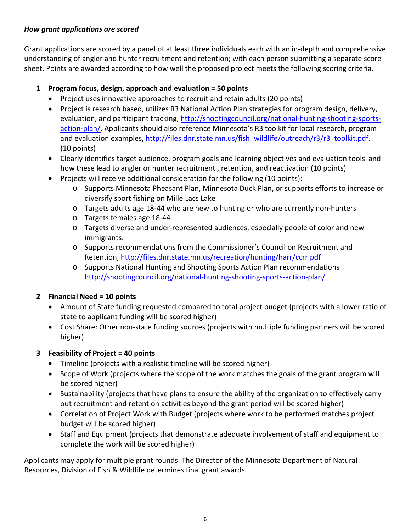# <span id="page-5-0"></span>*How grant applications are scored*

 sheet. Points are awarded according to how well the proposed project meets the following scoring criteria. Grant applications are scored by a panel of at least three individuals each with an in-depth and comprehensive understanding of angler and hunter recruitment and retention; with each person submitting a separate score

# **1 Program focus, design, approach and evaluation = 50 points**

- Project uses innovative approaches to recruit and retain adults (20 points)
- and evaluation examples, <u>http://files.dnr.state.mn.us/fish\_wildlife/outreach/r3/r3\_toolkit.pdf</u>.<br>(10 points)  $(10$  points) • Project is research based, utilizes R3 National Action Plan strategies for program design, delivery, evaluation, and participant tracking, [http://shootingcouncil.org/national-hunting-shooting-sports](http://shootingcouncil.org/national-hunting-shooting-sports-action-plan/)[action-plan/.](http://shootingcouncil.org/national-hunting-shooting-sports-action-plan/) Applicants should also reference Minnesota's R3 toolkit for local research, program
- how these lead to angler or hunter recruitment , retention, and reactivation (10 points) • Clearly identifies target audience, program goals and learning objectives and evaluation tools and
- Projects will receive additional consideration for the following (10 points):
	- diversify sport fishing on Mille Lacs Lake o Supports Minnesota Pheasant Plan, Minnesota Duck Plan, or supports efforts to increase or
	- $\circ$  Targets adults age 18-44 who are new to hunting or who are currently non-hunters
	- o Targets females age 18-44
	- o Targets diverse and under-represented audiences, especially people of color and new immigrants.
	- o Supports recommendations from the Commissioner's Council on Recruitment and Retention,<http://files.dnr.state.mn.us/recreation/hunting/harr/ccrr.pdf>
	- o Supports National Hunting and Shooting Sports Action Plan recommendations <http://shootingcouncil.org/national-hunting-shooting-sports-action-plan/>

# **2 Financial Need = 10 points**

- Amount of State funding requested compared to total project budget (projects with a lower ratio of state to applicant funding will be scored higher)
- Cost Share: Other non-state funding sources (projects with multiple funding partners will be scored higher)

# **3 Feasibility of Project = 40 points**

- Timeline (projects with a realistic timeline will be scored higher)
- Scope of Work (projects where the scope of the work matches the goals of the grant program will be scored higher)
- Sustainability (projects that have plans to ensure the ability of the organization to effectively carry out recruitment and retention activities beyond the grant period will be scored higher)
- Correlation of Project Work with Budget (projects where work to be performed matches project budget will be scored higher)
- • Staff and Equipment (projects that demonstrate adequate involvement of staff and equipment to complete the work will be scored higher)

Applicants may apply for multiple grant rounds. The Director of the Minnesota Department of Natural Resources, Division of Fish & Wildlife determines final grant awards.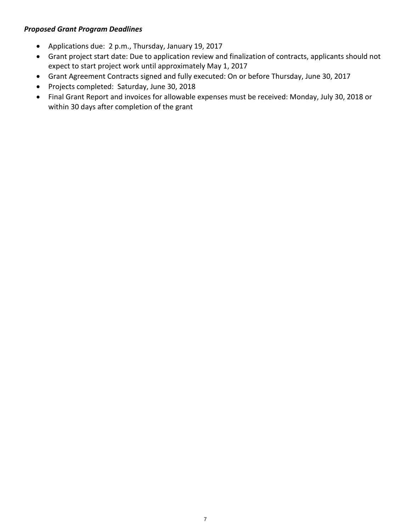# <span id="page-6-0"></span>*Proposed Grant Program Deadlines*

- • Applications due: 2 p.m., Thursday, January 19, 2017
- Grant project start date: Due to application review and finalization of contracts, applicants should not expect to start project work until approximately May 1, 2017
- Grant Agreement Contracts signed and fully executed: On or before Thursday, June 30, 2017
- • Projects completed: Saturday, June 30, 2018
- • Final Grant Report and invoices for allowable expenses must be received: Monday, July 30, 2018 or within 30 days after completion of the grant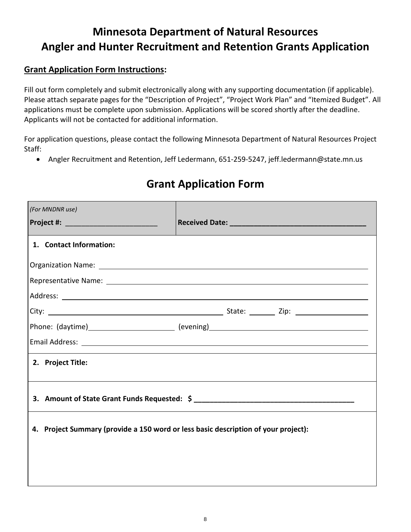# **Minnesota Department of Natural Resources Angler and Hunter Recruitment and Retention Grants Application**

# **Grant Application Form Instructions:**

 Please attach separate pages for the "Description of Project", "Project Work Plan" and "Itemized Budget". All Fill out form completely and submit electronically along with any supporting documentation (if applicable). applications must be complete upon submission. Applications will be scored shortly after the deadline. Applicants will not be contacted for additional information.

For application questions, please contact the following Minnesota Department of Natural Resources Project Staff:

• Angler Recruitment and Retention, Jeff Ledermann, 651-259-5247, jeff.ledermann@state.mn.us

| (For MNDNR use)                                                                                                                                                                                                                |  |  |  |  |  |
|--------------------------------------------------------------------------------------------------------------------------------------------------------------------------------------------------------------------------------|--|--|--|--|--|
| Project #: _______________________________                                                                                                                                                                                     |  |  |  |  |  |
| 1. Contact Information:                                                                                                                                                                                                        |  |  |  |  |  |
|                                                                                                                                                                                                                                |  |  |  |  |  |
|                                                                                                                                                                                                                                |  |  |  |  |  |
|                                                                                                                                                                                                                                |  |  |  |  |  |
|                                                                                                                                                                                                                                |  |  |  |  |  |
|                                                                                                                                                                                                                                |  |  |  |  |  |
| Email Address: Lawrence and Contract and Contract and Contract and Contract and Contract and Contract and Contract and Contract and Contract and Contract and Contract and Contract and Contract and Contract and Contract and |  |  |  |  |  |
| 2. Project Title:                                                                                                                                                                                                              |  |  |  |  |  |
|                                                                                                                                                                                                                                |  |  |  |  |  |
| 4. Project Summary (provide a 150 word or less basic description of your project):                                                                                                                                             |  |  |  |  |  |
|                                                                                                                                                                                                                                |  |  |  |  |  |
|                                                                                                                                                                                                                                |  |  |  |  |  |
|                                                                                                                                                                                                                                |  |  |  |  |  |

# **Grant Application Form**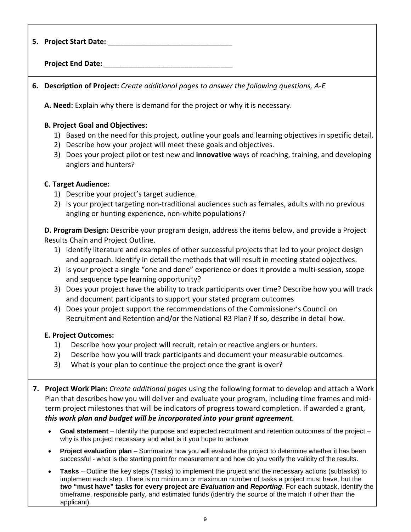| 5. Project Start Date: __________                                                                                                                                                                                                                                                                                                                                                                                                                                                                                                                                                                                                                                                                                                                                                                                                                                                                                                                                                                                                                                                                                                             |
|-----------------------------------------------------------------------------------------------------------------------------------------------------------------------------------------------------------------------------------------------------------------------------------------------------------------------------------------------------------------------------------------------------------------------------------------------------------------------------------------------------------------------------------------------------------------------------------------------------------------------------------------------------------------------------------------------------------------------------------------------------------------------------------------------------------------------------------------------------------------------------------------------------------------------------------------------------------------------------------------------------------------------------------------------------------------------------------------------------------------------------------------------|
| Project End Date: ____                                                                                                                                                                                                                                                                                                                                                                                                                                                                                                                                                                                                                                                                                                                                                                                                                                                                                                                                                                                                                                                                                                                        |
| 6. Description of Project: Create additional pages to answer the following questions, A-E                                                                                                                                                                                                                                                                                                                                                                                                                                                                                                                                                                                                                                                                                                                                                                                                                                                                                                                                                                                                                                                     |
| A. Need: Explain why there is demand for the project or why it is necessary.                                                                                                                                                                                                                                                                                                                                                                                                                                                                                                                                                                                                                                                                                                                                                                                                                                                                                                                                                                                                                                                                  |
| <b>B. Project Goal and Objectives:</b><br>1) Based on the need for this project, outline your goals and learning objectives in specific detail.<br>2) Describe how your project will meet these goals and objectives.<br>3) Does your project pilot or test new and innovative ways of reaching, training, and developing<br>anglers and hunters?                                                                                                                                                                                                                                                                                                                                                                                                                                                                                                                                                                                                                                                                                                                                                                                             |
| <b>C. Target Audience:</b><br>1) Describe your project's target audience.<br>2) Is your project targeting non-traditional audiences such as females, adults with no previous<br>angling or hunting experience, non-white populations?                                                                                                                                                                                                                                                                                                                                                                                                                                                                                                                                                                                                                                                                                                                                                                                                                                                                                                         |
| D. Program Design: Describe your program design, address the items below, and provide a Project<br>Results Chain and Project Outline.<br>1) Identify literature and examples of other successful projects that led to your project design<br>and approach. Identify in detail the methods that will result in meeting stated objectives.<br>2) Is your project a single "one and done" experience or does it provide a multi-session, scope<br>and sequence type learning opportunity?<br>3) Does your project have the ability to track participants over time? Describe how you will track<br>and document participants to support your stated program outcomes<br>Does your project support the recommendations of the Commissioner's Council on<br>4)<br>Recruitment and Retention and/or the National R3 Plan? If so, describe in detail how.<br><b>E. Project Outcomes:</b><br>1)<br>Describe how your project will recruit, retain or reactive anglers or hunters.<br>2)<br>Describe how you will track participants and document your measurable outcomes.<br>3)<br>What is your plan to continue the project once the grant is over? |
| 7. Project Work Plan: Create additional pages using the following format to develop and attach a Work<br>Plan that describes how you will deliver and evaluate your program, including time frames and mid-<br>term project milestones that will be indicators of progress toward completion. If awarded a grant,<br>this work plan and budget will be incorporated into your grant agreement.                                                                                                                                                                                                                                                                                                                                                                                                                                                                                                                                                                                                                                                                                                                                                |
| Goal statement – Identify the purpose and expected recruitment and retention outcomes of the project –<br>why is this project necessary and what is it you hope to achieve<br>Project evaluation plan - Summarize how you will evaluate the project to determine whether it has been                                                                                                                                                                                                                                                                                                                                                                                                                                                                                                                                                                                                                                                                                                                                                                                                                                                          |

• **Tasks** – Outline the key steps (Tasks) to implement the project and the necessary actions (subtasks) to implement each step. There is no minimum or maximum number of tasks a project must have, but the *two* **"must have" tasks for every project are** *Evaluation* **and** *Reporting*. For each subtask, identify the timeframe, responsible party, and estimated funds (identify the source of the match if other than the applicant).

successful - what is the starting point for measurement and how do you verify the validity of the results.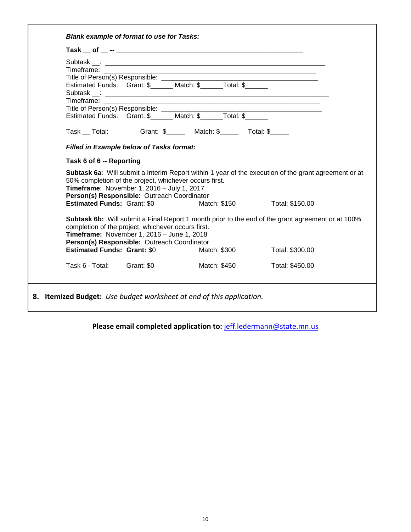| Timeframe: Times                   |                                                        |                                                             |                                                                                                      |  |
|------------------------------------|--------------------------------------------------------|-------------------------------------------------------------|------------------------------------------------------------------------------------------------------|--|
|                                    |                                                        |                                                             |                                                                                                      |  |
|                                    |                                                        |                                                             |                                                                                                      |  |
| Timeframe: Times                   |                                                        | <u> 1989 - Johann John Stein, marwolaethau (b. 1989)</u>    |                                                                                                      |  |
|                                    |                                                        |                                                             |                                                                                                      |  |
|                                    |                                                        |                                                             |                                                                                                      |  |
|                                    |                                                        | Task __ Total: Grant: \$_____ Match: \$_____ Total: \$_____ |                                                                                                      |  |
|                                    |                                                        |                                                             |                                                                                                      |  |
|                                    |                                                        |                                                             |                                                                                                      |  |
|                                    | <b>Filled in Example below of Tasks format:</b>        |                                                             |                                                                                                      |  |
|                                    |                                                        |                                                             |                                                                                                      |  |
| Task 6 of 6 -- Reporting           |                                                        |                                                             |                                                                                                      |  |
|                                    |                                                        |                                                             | Subtask 6a: Will submit a Interim Report within 1 year of the execution of the grant agreement or at |  |
|                                    | 50% completion of the project, whichever occurs first. |                                                             |                                                                                                      |  |
|                                    | Timeframe: November 1, 2016 - July 1, 2017             |                                                             |                                                                                                      |  |
|                                    | Person(s) Responsible: Outreach Coordinator            |                                                             |                                                                                                      |  |
| <b>Estimated Funds: Grant: \$0</b> |                                                        | Match: \$150                                                | Total: \$150.00                                                                                      |  |
|                                    |                                                        |                                                             |                                                                                                      |  |
|                                    |                                                        |                                                             | Subtask 6b: Will submit a Final Report 1 month prior to the end of the grant agreement or at 100%    |  |
|                                    | completion of the project, whichever occurs first.     |                                                             |                                                                                                      |  |
|                                    | Timeframe: November 1, 2016 - June 1, 2018             |                                                             |                                                                                                      |  |
|                                    | Person(s) Responsible: Outreach Coordinator            |                                                             |                                                                                                      |  |
| <b>Estimated Funds: Grant: \$0</b> |                                                        | Match: \$300                                                | Total: \$300.00                                                                                      |  |
| Task 6 - Total: Grant: \$0         |                                                        | Match: \$450                                                | Total: \$450.00                                                                                      |  |

# **Please email completed application to:** [jeff.ledermann@state.mn.us](mailto:jeff.ledermann@state.mn.us)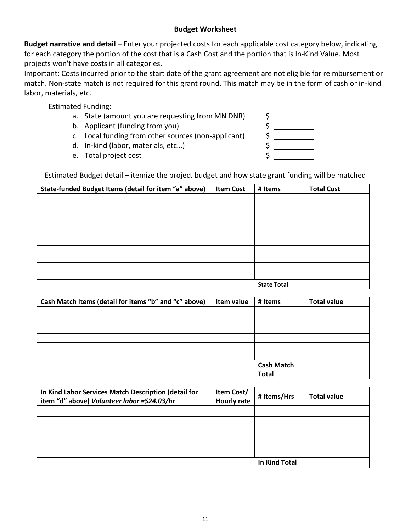### **Budget Worksheet**

 **Budget narrative and detail** – Enter your projected costs for each applicable cost category below, indicating for each category the portion of the cost that is a Cash Cost and the portion that is In-Kind Value. Most projects won't have costs in all categories.

 Important: Costs incurred prior to the start date of the grant agreement are not eligible for reimbursement or match. Non-state match is not required for this grant round. This match may be in the form of cash or in-kind labor, materials, etc.

Estimated Funding:

- a. State (amount you are requesting from MN DNR) \$
- b. Applicant (funding from you) \$
- c. Local funding from other sources (non-applicant) \$
- d. In-kind (labor, materials, etc…) \$
- e. Total project cost  $\zeta$



Estimated Budget detail – itemize the project budget and how state grant funding will be matched

| State-funded Budget Items (detail for item "a" above) | <b>Item Cost</b> | # Items            | <b>Total Cost</b> |
|-------------------------------------------------------|------------------|--------------------|-------------------|
|                                                       |                  |                    |                   |
|                                                       |                  |                    |                   |
|                                                       |                  |                    |                   |
|                                                       |                  |                    |                   |
|                                                       |                  |                    |                   |
|                                                       |                  |                    |                   |
|                                                       |                  |                    |                   |
|                                                       |                  |                    |                   |
|                                                       |                  |                    |                   |
|                                                       |                  |                    |                   |
|                                                       |                  | <b>State Total</b> |                   |

| Cash Match Items (detail for items "b" and "c" above) | Item value | # Items           | <b>Total value</b> |
|-------------------------------------------------------|------------|-------------------|--------------------|
|                                                       |            |                   |                    |
|                                                       |            |                   |                    |
|                                                       |            |                   |                    |
|                                                       |            |                   |                    |
|                                                       |            |                   |                    |
|                                                       |            |                   |                    |
|                                                       |            | <b>Cash Match</b> |                    |
|                                                       |            | Total             |                    |

**In Kind Labor Services Match Description (detail for item "d" above)** *Volunteer labor =\$24.03/hr*  **Item Cost/ Hourly rate # Items/Hrs Total value In Kind Total**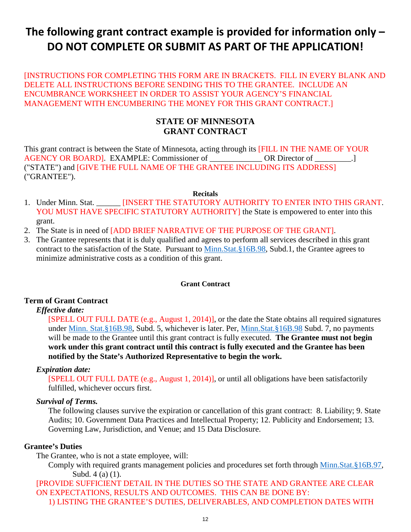# **The following grant contract example is provided for information only – DO NOT COMPLETE OR SUBMIT AS PART OF THE APPLICATION!**

 DELETE ALL INSTRUCTIONS BEFORE SENDING THIS TO THE GRANTEE. INCLUDE AN ENCUMBRANCE WORKSHEET IN ORDER TO ASSIST YOUR AGENCY'S FINANCIAL [INSTRUCTIONS FOR COMPLETING THIS FORM ARE IN BRACKETS. FILL IN EVERY BLANK AND MANAGEMENT WITH ENCUMBERING THE MONEY FOR THIS GRANT CONTRACT.]

# **STATE OF MINNESOTA GRANT CONTRACT**

This grant contract is between the State of Minnesota, acting through its [FILL IN THE NAME OF YOUR AGENCY OR BOARD]. EXAMPLE: Commissioner of \_\_\_\_\_\_\_\_\_\_\_\_\_ OR Director of \_\_\_\_\_\_\_\_\_.] ("STATE") and [GIVE THE FULL NAME OF THE GRANTEE INCLUDING ITS ADDRESS] ("GRANTEE").

#### **Recitals**

- 1. Under Minn. Stat. \_\_\_\_\_\_ [INSERT THE STATUTORY AUTHORITY TO ENTER INTO THIS GRANT. YOU MUST HAVE SPECIFIC STATUTORY AUTHORITY] the State is empowered to enter into this grant.
- 2. The State is in need of [ADD BRIEF NARRATIVE OF THE PURPOSE OF THE GRANT].
- 3. The Grantee represents that it is duly qualified and agrees to perform all services described in this grant contract to the satisfaction of the State. Pursuant to [Minn.Stat.§16B.98,](https://www.revisor.mn.gov/statutes/?id=16B.98) Subd.1, the Grantee agrees to minimize administrative costs as a condition of this grant.

#### **Grant Contract**

### **Term of Grant Contract**

### *Effective date:*

 [SPELL OUT FULL DATE (e.g., August 1, 2014)], or the date the State obtains all required signatures will be made to the Grantee until this grant contract is fully executed. **The Grantee must not begin notified by the State's Authorized Representative to begin the work.** under [Minn. Stat.§16B.98,](https://www.revisor.mn.gov/statutes/?id=16B.98) Subd. 5, whichever is later. Per, [Minn.Stat.§16B.98](https://www.revisor.mn.gov/statutes/?id=16B.98) Subd. 7, no payments **work under this grant contract until this contract is fully executed and the Grantee has been** 

### *Expiration date:*

 [SPELL OUT FULL DATE (e.g., August 1, 2014)], or until all obligations have been satisfactorily fulfilled, whichever occurs first.

### *Survival of Terms.*

The following clauses survive the expiration or cancellation of this grant contract: 8. Liability; 9. State Audits; 10. Government Data Practices and Intellectual Property; 12. Publicity and Endorsement; 13. Governing Law, Jurisdiction, and Venue; and 15 Data Disclosure.

### **Grantee's Duties**

The Grantee, who is not a state employee, will:

Comply with required grants management policies and procedures set forth through [Minn.Stat.§16B.97,](https://www.revisor.mn.gov/statutes/?id=16B.97) Subd. 4 (a) (1).

 ON EXPECTATIONS, RESULTS AND OUTCOMES. THIS CAN BE DONE BY: [PROVIDE SUFFICIENT DETAIL IN THE DUTIES SO THE STATE AND GRANTEE ARE CLEAR 1) LISTING THE GRANTEE'S DUTIES, DELIVERABLES, AND COMPLETION DATES WITH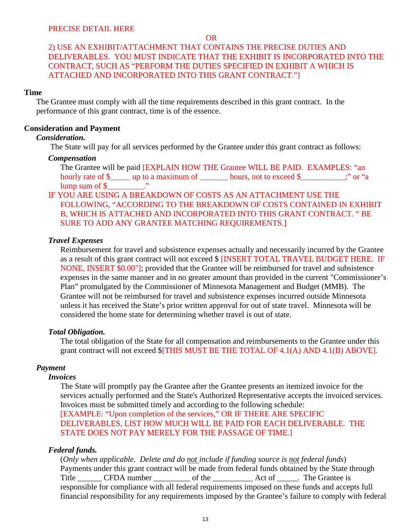OR

# DELIVERABLES. YOU MUST INDICATE THAT THE EXHIBIT IS INCORPORATED INTO THE 2) USE AN EXHIBIT/ATTACHMENT THAT CONTAINS THE PRECISE DUTIES AND CONTRACT, SUCH AS "PERFORM THE DUTIES SPECIFIED IN EXHIBIT A WHICH IS ATTACHED AND INCORPORATED INTO THIS GRANT CONTRACT."]

### **Time**

 The Grantee must comply with all the time requirements described in this grant contract. In the performance of this grant contract, time is of the essence.

### **Consideration and Payment**

### *Consideration.*

The State will pay for all services performed by the Grantee under this grant contract as follows:

### *Compensation*

The Grantee will be paid [EXPLAIN HOW THE Grantee WILL BE PAID. EXAMPLES: "an hourly rate of \$\_\_\_\_\_ up to a maximum of \_\_\_\_\_\_\_ hours, not to exceed \$\_\_\_\_\_\_\_\_;" or "a lump sum of \$\_\_\_\_\_\_\_\_\_."<br>IF YOU ARE USING A BREAKDOWN OF COSTS AS AN ATTACHMENT USE THE

# FOLLOWING, "ACCORDING TO THE BREAKDOWN OF COSTS CONTAINED IN EXHIBIT B, WHICH IS ATTACHED AND INCORPORATED INTO THIS GRANT CONTRACT. " BE SURE TO ADD ANY GRANTEE MATCHING REQUIREMENTS.]

### *Travel Expenses*

as a result of this grant contract will not exceed \$ [INSERT TOTAL TRAVEL BUDGET HERE. IF Reimbursement for travel and subsistence expenses actually and necessarily incurred by the Grantee NONE, INSERT \$0.00"]; provided that the Grantee will be reimbursed for travel and subsistence expenses in the same manner and in no greater amount than provided in the current "Commissioner's Plan" promulgated by the Commissioner of Minnesota Management and Budget (MMB). The Grantee will not be reimbursed for travel and subsistence expenses incurred outside Minnesota unless it has received the State's prior written approval for out of state travel. Minnesota will be considered the home state for determining whether travel is out of state.

### *Total Obligation.*

The total obligation of the State for all compensation and reimbursements to the Grantee under this grant contract will not exceed \$[THIS MUST BE THE TOTAL OF 4.1(A) AND 4.1(B) ABOVE].

### *Payment*

### *Invoices*

 services actually performed and the State's Authorized Representative accepts the invoiced services. Invoices must be submitted timely and according to the following schedule: [EXAMPLE: "Upon completion of the services," OR IF THERE ARE SPECIFIC DELIVERABLES, LIST HOW MUCH WILL BE PAID FOR EACH DELIVERABLE. THE The State will promptly pay the Grantee after the Grantee presents an itemized invoice for the STATE DOES NOT PAY MERELY FOR THE PASSAGE OF TIME.]

### *Federal funds.*

(Only when applicable. Delete and do not include if funding source is not federal funds) Payments under this grant contract will be made from federal funds obtained by the State through Title \_\_\_\_\_\_\_ CFDA number \_\_\_\_\_\_\_\_\_\_ of the \_\_\_\_\_\_\_\_\_\_\_\_ Act of \_\_\_\_\_. The Grantee is responsible for compliance with all federal requirements imposed on these funds and accepts full financial responsibility for any requirements imposed by the Grantee's failure to comply with federal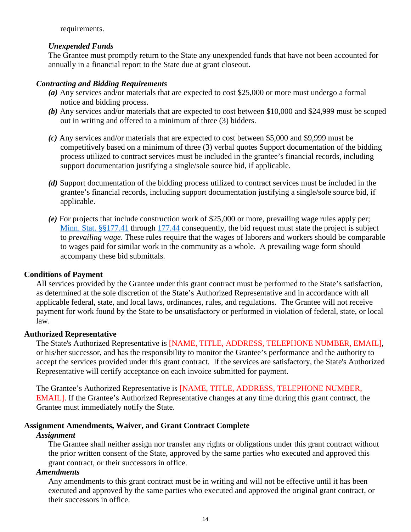requirements.

### *Unexpended Funds*

The Grantee must promptly return to the State any unexpended funds that have not been accounted for annually in a financial report to the State due at grant closeout.

### *Contracting and Bidding Requirements*

- *(a)* Any services and/or materials that are expected to cost \$25,000 or more must undergo a formal notice and bidding process.
- *(b)* Any services and/or materials that are expected to cost between \$10,000 and \$24,999 must be scoped out in writing and offered to a minimum of three (3) bidders.
- *(c)* Any services and/or materials that are expected to cost between \$5,000 and \$9,999 must be competitively based on a minimum of three (3) verbal quotes Support documentation of the bidding process utilized to contract services must be included in the grantee's financial records, including support documentation justifying a single/sole source bid, if applicable.
- (d) Support documentation of the bidding process utilized to contract services must be included in the grantee's financial records, including support documentation justifying a single/sole source bid, if applicable.
- *(e)* For projects that include construction work of \$25,000 or more, prevailing wage rules apply per; [Minn. Stat. §§177.41](https://www.revisor.leg.state.mn.us/statutes/?id=177.41) through [177.44](https://www.revisor.leg.state.mn.us/statutes/?id=177.44) consequently, the bid request must state the project is subject to *prevailing wage*. These rules require that the wages of laborers and workers should be comparable to wages paid for similar work in the community as a whole. A prevailing wage form should accompany these bid submittals.

### **Conditions of Payment**

All services provided by the Grantee under this grant contract must be performed to the State's satisfaction, as determined at the sole discretion of the State's Authorized Representative and in accordance with all applicable federal, state, and local laws, ordinances, rules, and regulations. The Grantee will not receive payment for work found by the State to be unsatisfactory or performed in violation of federal, state, or local law.

### **Authorized Representative**

 accept the services provided under this grant contract. If the services are satisfactory, the State's Authorized The State's Authorized Representative is [NAME, TITLE, ADDRESS, TELEPHONE NUMBER, EMAIL], or his/her successor, and has the responsibility to monitor the Grantee's performance and the authority to Representative will certify acceptance on each invoice submitted for payment.

 EMAIL]. If the Grantee's Authorized Representative changes at any time during this grant contract, the The Grantee's Authorized Representative is [NAME, TITLE, ADDRESS, TELEPHONE NUMBER, Grantee must immediately notify the State.

### **Assignment Amendments, Waiver, and Grant Contract Complete**

### *Assignment*

The Grantee shall neither assign nor transfer any rights or obligations under this grant contract without the prior written consent of the State, approved by the same parties who executed and approved this grant contract, or their successors in office.

### *Amendments*

Any amendments to this grant contract must be in writing and will not be effective until it has been executed and approved by the same parties who executed and approved the original grant contract, or their successors in office.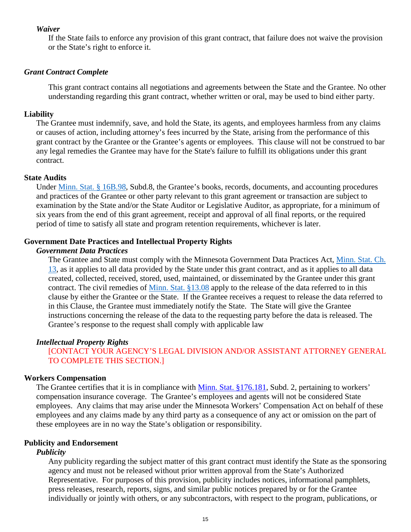### *Waiver*

If the State fails to enforce any provision of this grant contract, that failure does not waive the provision or the State's right to enforce it.

### *Grant Contract Complete*

This grant contract contains all negotiations and agreements between the State and the Grantee. No other understanding regarding this grant contract, whether written or oral, may be used to bind either party.

### **Liability**

 The Grantee must indemnify, save, and hold the State, its agents, and employees harmless from any claims any legal remedies the Grantee may have for the State's failure to fulfill its obligations under this grant or causes of action, including attorney's fees incurred by the State, arising from the performance of this grant contract by the Grantee or the Grantee's agents or employees. This clause will not be construed to bar contract.

#### **State Audits**

 examination by the State and/or the State Auditor or Legislative Auditor, as appropriate, for a minimum of six years from the end of this grant agreement, receipt and approval of all final reports, or the required Under [Minn. Stat. § 16B.98,](https://www.revisor.mn.gov/statutes/?id=16B.98) Subd.8, the Grantee's books, records, documents, and accounting procedures and practices of the Grantee or other party relevant to this grant agreement or transaction are subject to period of time to satisfy all state and program retention requirements, whichever is later.

### **Government Date Practices and Intellectual Property Rights**

### *Government Data Practices*

 clause by either the Grantee or the State. If the Grantee receives a request to release the data referred to The Grantee and State must comply with the Minnesota Government Data Practices Act, [Minn. Stat. Ch.](https://www.revisor.leg.state.mn.us/statutes/?id=13)  [13,](https://www.revisor.leg.state.mn.us/statutes/?id=13) as it applies to all data provided by the State under this grant contract, and as it applies to all data created, collected, received, stored, used, maintained, or disseminated by the Grantee under this grant contract. The civil remedies of [Minn. Stat. §13.08](https://www.revisor.leg.state.mn.us/statutes/?id=13.08) apply to the release of the data referred to in this in this Clause, the Grantee must immediately notify the State. The State will give the Grantee instructions concerning the release of the data to the requesting party before the data is released. The Grantee's response to the request shall comply with applicable law

### *Intellectual Property Rights*

[CONTACT YOUR AGENCY'S LEGAL DIVISION AND/OR ASSISTANT ATTORNEY GENERAL TO COMPLETE THIS SECTION.]

### **Workers Compensation**

The Grantee certifies that it is in compliance with [Minn. Stat. §176.181,](https://www.revisor.leg.state.mn.us/statutes/?id=176.181) Subd. 2, pertaining to workers' compensation insurance coverage. The Grantee's employees and agents will not be considered State employees. Any claims that may arise under the Minnesota Workers' Compensation Act on behalf of these employees and any claims made by any third party as a consequence of any act or omission on the part of these employees are in no way the State's obligation or responsibility.

### **Publicity and Endorsement**

#### *Publicity*

 press releases, research, reports, signs, and similar public notices prepared by or for the Grantee Any publicity regarding the subject matter of this grant contract must identify the State as the sponsoring agency and must not be released without prior written approval from the State's Authorized Representative. For purposes of this provision, publicity includes notices, informational pamphlets, individually or jointly with others, or any subcontractors, with respect to the program, publications, or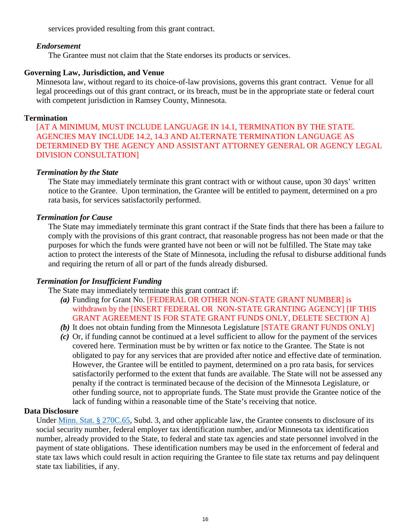services provided resulting from this grant contract.

### *Endorsement*

The Grantee must not claim that the State endorses its products or services.

### **Governing Law, Jurisdiction, and Venue**

 Minnesota law, without regard to its choice-of-law provisions, governs this grant contract. Venue for all legal proceedings out of this grant contract, or its breach, must be in the appropriate state or federal court with competent jurisdiction in Ramsey County, Minnesota.

### **Termination**

 [AT A MINIMUM, MUST INCLUDE LANGUAGE IN 14.1, TERMINATION BY THE STATE. AGENCIES MAY INCLUDE 14.2, 14.3 AND ALTERNATE TERMINATION LANGUAGE AS DETERMINED BY THE AGENCY AND ASSISTANT ATTORNEY GENERAL OR AGENCY LEGAL DIVISION CONSULTATION]

### *Termination by the State*

The State may immediately terminate this grant contract with or without cause, upon 30 days' written notice to the Grantee. Upon termination, the Grantee will be entitled to payment, determined on a pro rata basis, for services satisfactorily performed.

### *Termination for Cause*

 The State may immediately terminate this grant contract if the State finds that there has been a failure to comply with the provisions of this grant contract, that reasonable progress has not been made or that the purposes for which the funds were granted have not been or will not be fulfilled. The State may take action to protect the interests of the State of Minnesota, including the refusal to disburse additional funds and requiring the return of all or part of the funds already disbursed.

### *Termination for Insufficient Funding*

The State may immediately terminate this grant contract if:

- GRANT AGREEMENT IS FOR STATE GRANT FUNDS ONLY, DELETE SECTION A] *(a)* Funding for Grant No. [FEDERAL OR OTHER NON-STATE GRANT NUMBER] is withdrawn by the [INSERT FEDERAL OR NON-STATE GRANTING AGENCY] [IF THIS
- *(b)* It does not obtain funding from the Minnesota Legislature [STATE GRANT FUNDS ONLY]
- *(c)* Or, if funding cannot be continued at a level sufficient to allow for the payment of the services covered here. Termination must be by written or fax notice to the Grantee. The State is not obligated to pay for any services that are provided after notice and effective date of termination. However, the Grantee will be entitled to payment, determined on a pro rata basis, for services satisfactorily performed to the extent that funds are available. The State will not be assessed any penalty if the contract is terminated because of the decision of the Minnesota Legislature, or other funding source, not to appropriate funds. The State must provide the Grantee notice of the lack of funding within a reasonable time of the State's receiving that notice.

### **Data Disclosure**

Under [Minn. Stat. § 270C.65,](https://www.revisor.leg.state.mn.us/statutes/?id=270C.65) Subd. 3, and other applicable law, the Grantee consents to disclosure of its social security number, federal employer tax identification number, and/or Minnesota tax identification number, already provided to the State, to federal and state tax agencies and state personnel involved in the payment of state obligations. These identification numbers may be used in the enforcement of federal and state tax laws which could result in action requiring the Grantee to file state tax returns and pay delinquent state tax liabilities, if any.